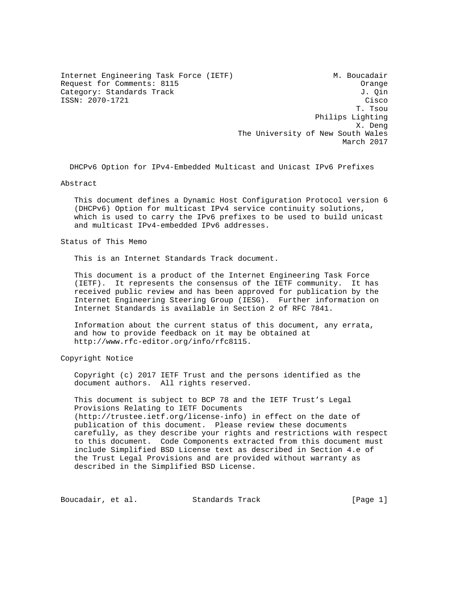Internet Engineering Task Force (IETF) M. Boucadair Request for Comments: 8115 Category: Standards Track J. Qin ISSN: 2070-1721 Cisco

 T. Tsou Philips Lighting X. Deng The University of New South Wales March 2017

DHCPv6 Option for IPv4-Embedded Multicast and Unicast IPv6 Prefixes

Abstract

 This document defines a Dynamic Host Configuration Protocol version 6 (DHCPv6) Option for multicast IPv4 service continuity solutions, which is used to carry the IPv6 prefixes to be used to build unicast and multicast IPv4-embedded IPv6 addresses.

Status of This Memo

This is an Internet Standards Track document.

 This document is a product of the Internet Engineering Task Force (IETF). It represents the consensus of the IETF community. It has received public review and has been approved for publication by the Internet Engineering Steering Group (IESG). Further information on Internet Standards is available in Section 2 of RFC 7841.

 Information about the current status of this document, any errata, and how to provide feedback on it may be obtained at http://www.rfc-editor.org/info/rfc8115.

Copyright Notice

 Copyright (c) 2017 IETF Trust and the persons identified as the document authors. All rights reserved.

 This document is subject to BCP 78 and the IETF Trust's Legal Provisions Relating to IETF Documents (http://trustee.ietf.org/license-info) in effect on the date of publication of this document. Please review these documents carefully, as they describe your rights and restrictions with respect to this document. Code Components extracted from this document must include Simplified BSD License text as described in Section 4.e of the Trust Legal Provisions and are provided without warranty as described in the Simplified BSD License.

Boucadair, et al. Standards Track [Page 1]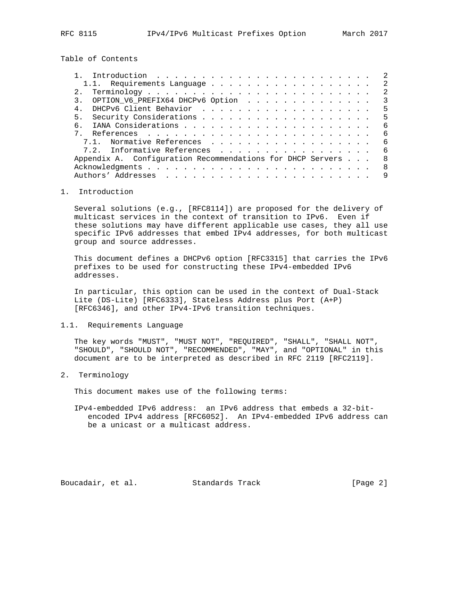Table of Contents

| Introduction $\ldots \ldots \ldots \ldots \ldots \ldots \ldots \ldots$ | -2                      |
|------------------------------------------------------------------------|-------------------------|
|                                                                        | $\mathcal{L}$           |
|                                                                        | -2                      |
| 3. OPTION V6_PREFIX64 DHCPv6 Option                                    | $\overline{\mathbf{3}}$ |
|                                                                        | 5                       |
| 5 <sub>1</sub>                                                         | 5                       |
| რ —                                                                    | -6                      |
|                                                                        | - 6                     |
| 7.1. Normative References                                              | - 6                     |
| 7.2. Informative References                                            | - 6                     |
| Appendix A. Configuration Recommendations for DHCP Servers             | 8                       |
|                                                                        | 8                       |
|                                                                        | 9                       |
|                                                                        |                         |

## 1. Introduction

 Several solutions (e.g., [RFC8114]) are proposed for the delivery of multicast services in the context of transition to IPv6. Even if these solutions may have different applicable use cases, they all use specific IPv6 addresses that embed IPv4 addresses, for both multicast group and source addresses.

 This document defines a DHCPv6 option [RFC3315] that carries the IPv6 prefixes to be used for constructing these IPv4-embedded IPv6 addresses.

 In particular, this option can be used in the context of Dual-Stack Lite (DS-Lite) [RFC6333], Stateless Address plus Port (A+P) [RFC6346], and other IPv4-IPv6 transition techniques.

1.1. Requirements Language

 The key words "MUST", "MUST NOT", "REQUIRED", "SHALL", "SHALL NOT", "SHOULD", "SHOULD NOT", "RECOMMENDED", "MAY", and "OPTIONAL" in this document are to be interpreted as described in RFC 2119 [RFC2119].

2. Terminology

This document makes use of the following terms:

 IPv4-embedded IPv6 address: an IPv6 address that embeds a 32-bit encoded IPv4 address [RFC6052]. An IPv4-embedded IPv6 address can be a unicast or a multicast address.

Boucadair, et al. Standards Track [Page 2]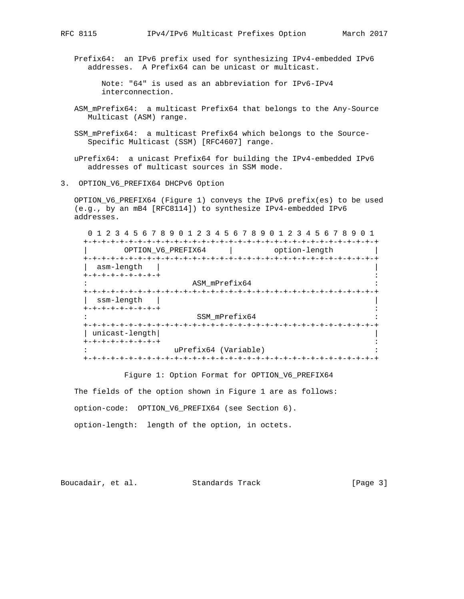Prefix64: an IPv6 prefix used for synthesizing IPv4-embedded IPv6 addresses. A Prefix64 can be unicast or multicast.

 Note: "64" is used as an abbreviation for IPv6-IPv4 interconnection.

- ASM\_mPrefix64: a multicast Prefix64 that belongs to the Any-Source Multicast (ASM) range.
- SSM\_mPrefix64: a multicast Prefix64 which belongs to the Source-Specific Multicast (SSM) [RFC4607] range.

 uPrefix64: a unicast Prefix64 for building the IPv4-embedded IPv6 addresses of multicast sources in SSM mode.

3. OPTION V6 PREFIX64 DHCPv6 Option

 OPTION\_V6\_PREFIX64 (Figure 1) conveys the IPv6 prefix(es) to be used (e.g., by an mB4 [RFC8114]) to synthesize IPv4-embedded IPv6 addresses.

 0 1 2 3 4 5 6 7 8 9 0 1 2 3 4 5 6 7 8 9 0 1 2 3 4 5 6 7 8 9 0 1 +-+-+-+-+-+-+-+-+-+-+-+-+-+-+-+-+-+-+-+-+-+-+-+-+-+-+-+-+-+-+-+-+ OPTION\_V6\_PREFIX64 | option-length +-+-+-+-+-+-+-+-+-+-+-+-+-+-+-+-+-+-+-+-+-+-+-+-+-+-+-+-+-+-+-+-+ | asm-length | | +-+-+-+-+-+-+-+-+ : : ASM\_mPrefix64 : +-+-+-+-+-+-+-+-+-+-+-+-+-+-+-+-+-+-+-+-+-+-+-+-+-+-+-+-+-+-+-+-+ | ssm-length | | +-+-+-+-+-+-+-+-+ : SSM\_mPrefix64 +-+-+-+-+-+-+-+-+-+-+-+-+-+-+-+-+-+-+-+-+-+-+-+-+-+-+-+-+-+-+-+-+ | unicast-length| | +-+-+-+-+-+-+-+-+ : uPrefix64 (Variable) +-+-+-+-+-+-+-+-+-+-+-+-+-+-+-+-+-+-+-+-+-+-+-+-+-+-+-+-+-+-+-+-+

Figure 1: Option Format for OPTION\_V6\_PREFIX64

 The fields of the option shown in Figure 1 are as follows: option-code: OPTION\_V6\_PREFIX64 (see Section 6). option-length: length of the option, in octets.

Boucadair, et al. Standards Track [Page 3]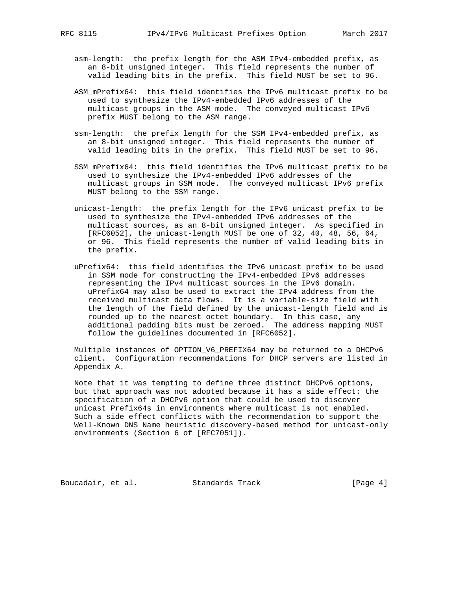- asm-length: the prefix length for the ASM IPv4-embedded prefix, as an 8-bit unsigned integer. This field represents the number of valid leading bits in the prefix. This field MUST be set to 96.
- ASM\_mPrefix64: this field identifies the IPv6 multicast prefix to be used to synthesize the IPv4-embedded IPv6 addresses of the multicast groups in the ASM mode. The conveyed multicast IPv6 prefix MUST belong to the ASM range.
- ssm-length: the prefix length for the SSM IPv4-embedded prefix, as an 8-bit unsigned integer. This field represents the number of valid leading bits in the prefix. This field MUST be set to 96.
- SSM\_mPrefix64: this field identifies the IPv6 multicast prefix to be used to synthesize the IPv4-embedded IPv6 addresses of the multicast groups in SSM mode. The conveyed multicast IPv6 prefix MUST belong to the SSM range.
- unicast-length: the prefix length for the IPv6 unicast prefix to be used to synthesize the IPv4-embedded IPv6 addresses of the multicast sources, as an 8-bit unsigned integer. As specified in [RFC6052], the unicast-length MUST be one of 32, 40, 48, 56, 64, or 96. This field represents the number of valid leading bits in the prefix.
- uPrefix64: this field identifies the IPv6 unicast prefix to be used in SSM mode for constructing the IPv4-embedded IPv6 addresses representing the IPv4 multicast sources in the IPv6 domain. uPrefix64 may also be used to extract the IPv4 address from the received multicast data flows. It is a variable-size field with the length of the field defined by the unicast-length field and is rounded up to the nearest octet boundary. In this case, any additional padding bits must be zeroed. The address mapping MUST follow the guidelines documented in [RFC6052].

 Multiple instances of OPTION\_V6\_PREFIX64 may be returned to a DHCPv6 client. Configuration recommendations for DHCP servers are listed in Appendix A.

 Note that it was tempting to define three distinct DHCPv6 options, but that approach was not adopted because it has a side effect: the specification of a DHCPv6 option that could be used to discover unicast Prefix64s in environments where multicast is not enabled. Such a side effect conflicts with the recommendation to support the Well-Known DNS Name heuristic discovery-based method for unicast-only environments (Section 6 of [RFC7051]).

Boucadair, et al. Standards Track [Page 4]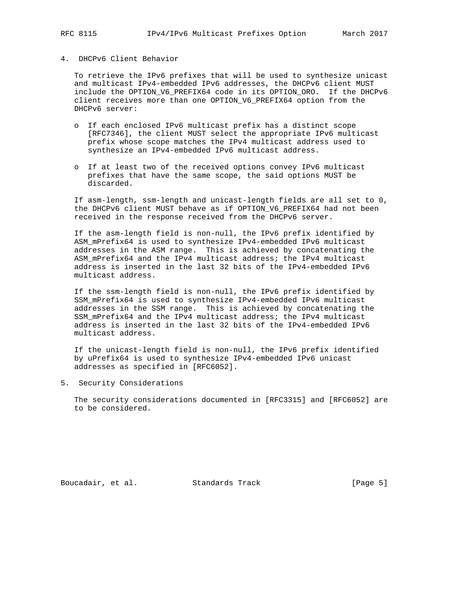### 4. DHCPv6 Client Behavior

 To retrieve the IPv6 prefixes that will be used to synthesize unicast and multicast IPv4-embedded IPv6 addresses, the DHCPv6 client MUST include the OPTION\_V6\_PREFIX64 code in its OPTION\_ORO. If the DHCPv6 client receives more than one OPTION\_V6\_PREFIX64 option from the DHCPv6 server:

- o If each enclosed IPv6 multicast prefix has a distinct scope [RFC7346], the client MUST select the appropriate IPv6 multicast prefix whose scope matches the IPv4 multicast address used to synthesize an IPv4-embedded IPv6 multicast address.
- o If at least two of the received options convey IPv6 multicast prefixes that have the same scope, the said options MUST be discarded.

 If asm-length, ssm-length and unicast-length fields are all set to 0, the DHCPv6 client MUST behave as if OPTION\_V6\_PREFIX64 had not been received in the response received from the DHCPv6 server.

 If the asm-length field is non-null, the IPv6 prefix identified by ASM\_mPrefix64 is used to synthesize IPv4-embedded IPv6 multicast addresses in the ASM range. This is achieved by concatenating the ASM\_mPrefix64 and the IPv4 multicast address; the IPv4 multicast address is inserted in the last 32 bits of the IPv4-embedded IPv6 multicast address.

 If the ssm-length field is non-null, the IPv6 prefix identified by SSM\_mPrefix64 is used to synthesize IPv4-embedded IPv6 multicast addresses in the SSM range. This is achieved by concatenating the SSM\_mPrefix64 and the IPv4 multicast address; the IPv4 multicast address is inserted in the last 32 bits of the IPv4-embedded IPv6 multicast address.

 If the unicast-length field is non-null, the IPv6 prefix identified by uPrefix64 is used to synthesize IPv4-embedded IPv6 unicast addresses as specified in [RFC6052].

5. Security Considerations

 The security considerations documented in [RFC3315] and [RFC6052] are to be considered.

Boucadair, et al. Standards Track [Page 5]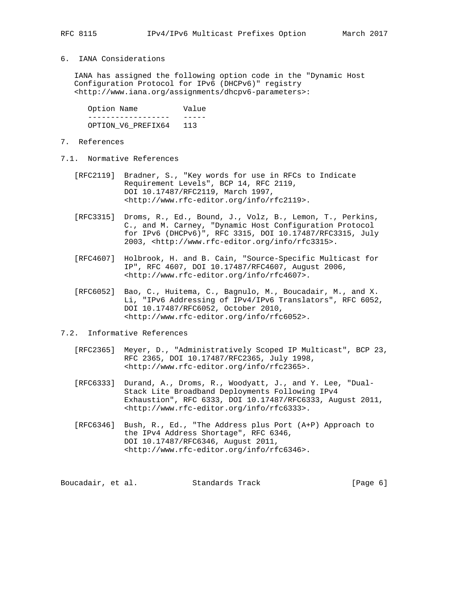## 6. IANA Considerations

 IANA has assigned the following option code in the "Dynamic Host Configuration Protocol for IPv6 (DHCPv6)" registry <http://www.iana.org/assignments/dhcpv6-parameters>:

Option Name **Value**  ------------------ ----- OPTION\_V6\_PREFIX64 113

- 7. References
- 7.1. Normative References
	- [RFC2119] Bradner, S., "Key words for use in RFCs to Indicate Requirement Levels", BCP 14, RFC 2119, DOI 10.17487/RFC2119, March 1997, <http://www.rfc-editor.org/info/rfc2119>.
	- [RFC3315] Droms, R., Ed., Bound, J., Volz, B., Lemon, T., Perkins, C., and M. Carney, "Dynamic Host Configuration Protocol for IPv6 (DHCPv6)", RFC 3315, DOI 10.17487/RFC3315, July 2003, <http://www.rfc-editor.org/info/rfc3315>.
	- [RFC4607] Holbrook, H. and B. Cain, "Source-Specific Multicast for IP", RFC 4607, DOI 10.17487/RFC4607, August 2006, <http://www.rfc-editor.org/info/rfc4607>.
	- [RFC6052] Bao, C., Huitema, C., Bagnulo, M., Boucadair, M., and X. Li, "IPv6 Addressing of IPv4/IPv6 Translators", RFC 6052, DOI 10.17487/RFC6052, October 2010, <http://www.rfc-editor.org/info/rfc6052>.

# 7.2. Informative References

- [RFC2365] Meyer, D., "Administratively Scoped IP Multicast", BCP 23, RFC 2365, DOI 10.17487/RFC2365, July 1998, <http://www.rfc-editor.org/info/rfc2365>.
- [RFC6333] Durand, A., Droms, R., Woodyatt, J., and Y. Lee, "Dual- Stack Lite Broadband Deployments Following IPv4 Exhaustion", RFC 6333, DOI 10.17487/RFC6333, August 2011, <http://www.rfc-editor.org/info/rfc6333>.
- [RFC6346] Bush, R., Ed., "The Address plus Port (A+P) Approach to the IPv4 Address Shortage", RFC 6346, DOI 10.17487/RFC6346, August 2011, <http://www.rfc-editor.org/info/rfc6346>.

Boucadair, et al. Standards Track [Page 6]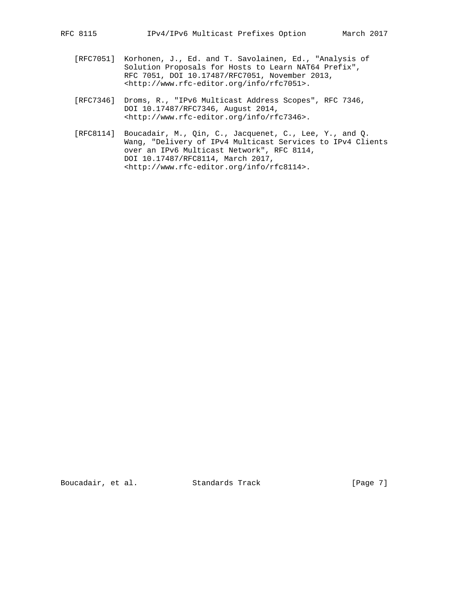- [RFC7051] Korhonen, J., Ed. and T. Savolainen, Ed., "Analysis of Solution Proposals for Hosts to Learn NAT64 Prefix", RFC 7051, DOI 10.17487/RFC7051, November 2013, <http://www.rfc-editor.org/info/rfc7051>.
- [RFC7346] Droms, R., "IPv6 Multicast Address Scopes", RFC 7346, DOI 10.17487/RFC7346, August 2014, <http://www.rfc-editor.org/info/rfc7346>.
- [RFC8114] Boucadair, M., Qin, C., Jacquenet, C., Lee, Y., and Q. Wang, "Delivery of IPv4 Multicast Services to IPv4 Clients over an IPv6 Multicast Network", RFC 8114, DOI 10.17487/RFC8114, March 2017, <http://www.rfc-editor.org/info/rfc8114>.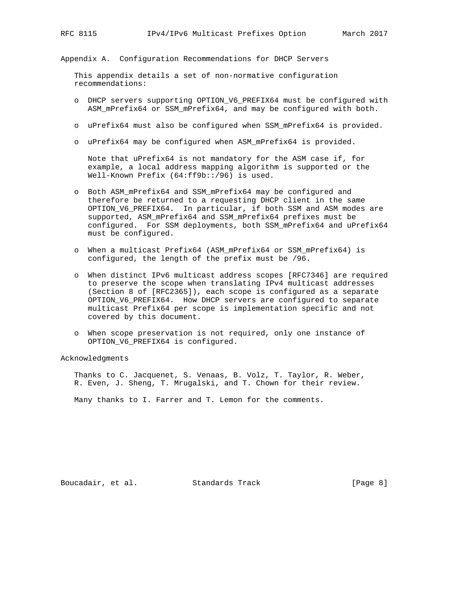Appendix A. Configuration Recommendations for DHCP Servers

 This appendix details a set of non-normative configuration recommendations:

- o DHCP servers supporting OPTION\_V6\_PREFIX64 must be configured with ASM\_mPrefix64 or SSM\_mPrefix64, and may be configured with both.
- o uPrefix64 must also be configured when SSM\_mPrefix64 is provided.
- o uPrefix64 may be configured when ASM\_mPrefix64 is provided.

 Note that uPrefix64 is not mandatory for the ASM case if, for example, a local address mapping algorithm is supported or the Well-Known Prefix (64:ff9b::/96) is used.

- o Both ASM\_mPrefix64 and SSM\_mPrefix64 may be configured and therefore be returned to a requesting DHCP client in the same OPTION\_V6\_PREFIX64. In particular, if both SSM and ASM modes are supported, ASM\_mPrefix64 and SSM\_mPrefix64 prefixes must be configured. For SSM deployments, both SSM\_mPrefix64 and uPrefix64 must be configured.
- o When a multicast Prefix64 (ASM\_mPrefix64 or SSM\_mPrefix64) is configured, the length of the prefix must be /96.
- o When distinct IPv6 multicast address scopes [RFC7346] are required to preserve the scope when translating IPv4 multicast addresses (Section 8 of [RFC2365]), each scope is configured as a separate OPTION\_V6\_PREFIX64. How DHCP servers are configured to separate multicast Prefix64 per scope is implementation specific and not covered by this document.
- o When scope preservation is not required, only one instance of OPTION\_V6\_PREFIX64 is configured.

Acknowledgments

 Thanks to C. Jacquenet, S. Venaas, B. Volz, T. Taylor, R. Weber, R. Even, J. Sheng, T. Mrugalski, and T. Chown for their review.

Many thanks to I. Farrer and T. Lemon for the comments.

Boucadair, et al. Standards Track [Page 8]